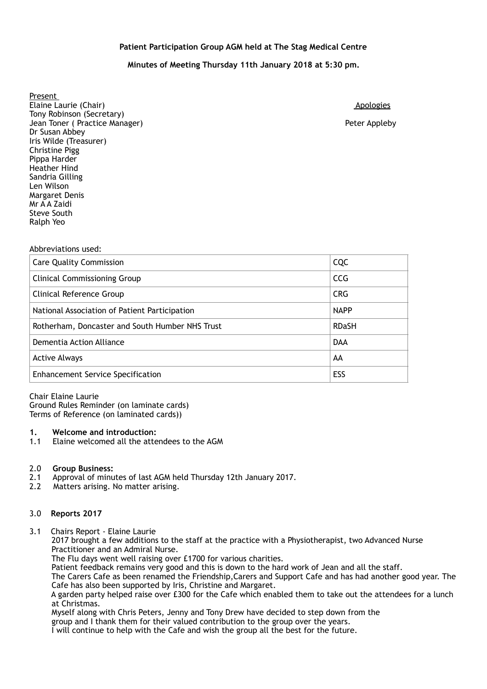## **Patient Participation Group AGM held at The Stag Medical Centre**

# **Minutes of Meeting Thursday 11th January 2018 at 5:30 pm.**

 Present Elaine Laurie (Chair) and a studies of the studies of the studies of the studies of the studies of the studies Tony Robinson (Secretary) Jean Toner ( Practice Manager) Peter Appleby Dr Susan Abbey Iris Wilde (Treasurer) Pippa Harder Sandria Gilling<br>Len Wilson Margaret Denis Mr A A Zaidi Steve South Christine Pigg Heather Hind Ralph Yeo

#### Abbreviations used:

| <b>Care Quality Commission</b>                  | CQC          |
|-------------------------------------------------|--------------|
| <b>Clinical Commissioning Group</b>             | <b>CCG</b>   |
| Clinical Reference Group                        | <b>CRG</b>   |
| National Association of Patient Participation   | <b>NAPP</b>  |
| Rotherham, Doncaster and South Humber NHS Trust | <b>RDaSH</b> |
| Dementia Action Alliance                        | <b>DAA</b>   |
| <b>Active Always</b>                            | AA           |
| <b>Enhancement Service Specification</b>        | ESS          |

Chair Elaine Laurie

 Terms of Reference (on laminated cards)) Ground Rules Reminder (on laminate cards)

#### **1. Welcome and introduction:**

1.1 Elaine welcomed all the attendees to the AGM

#### 2.0 **Group Business:**

- 2.1 Approval of minutes of last AGM held Thursday 12th January 2017.
- $2.2$ Matters arising. No matter arising.

#### 3.0 **Reports 2017**

3.1 Chairs Report - Elaine Laurie

2017 brought a few additions to the staff at the practice with a Physiotherapist, two Advanced Nurse Practitioner and an Admiral Nurse.

The Flu days went well raising over £1700 for various charities.

Patient feedback remains very good and this is down to the hard work of Jean and all the staff.

The Carers Cafe as been renamed the Friendship,Carers and Support Cafe and has had another good year. The Cafe has also been supported by Iris, Christine and Margaret.

A garden party helped raise over £300 for the Cafe which enabled them to take out the attendees for a lunch at Christmas.

Myself along with Chris Peters, Jenny and Tony Drew have decided to step down from the group and I thank them for their valued contribution to the group over the years.

I will continue to help with the Cafe and wish the group all the best for the future.